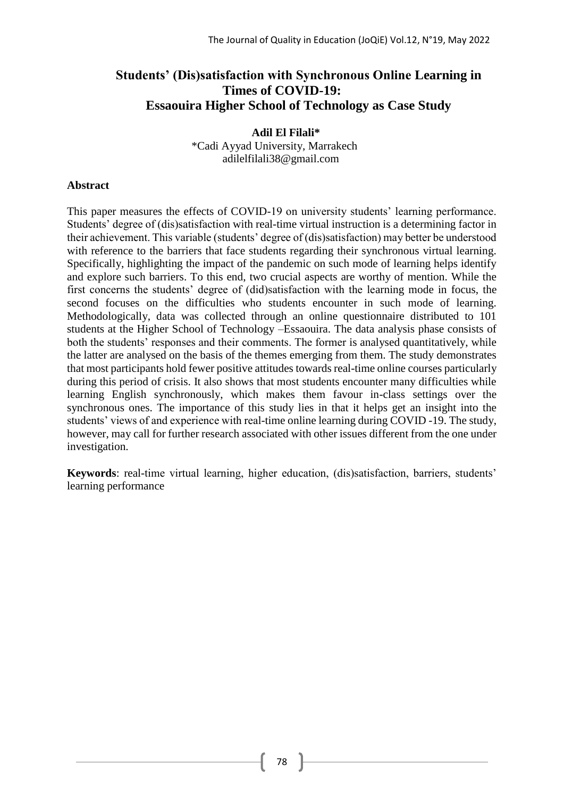# **Students' (Dis)satisfaction with Synchronous Online Learning in Times of COVID-19: Essaouira Higher School of Technology as Case Study**

#### **Adil El Filali\*** \*Cadi Ayyad University, Marrakech [adilelfilali38@gmail.com](mailto:adilelfilali38@gmail.com)

### **Abstract**

This paper measures the effects of COVID-19 on university students' learning performance. Students' degree of (dis)satisfaction with real-time virtual instruction is a determining factor in their achievement. This variable (students' degree of (dis)satisfaction) may better be understood with reference to the barriers that face students regarding their synchronous virtual learning. Specifically, highlighting the impact of the pandemic on such mode of learning helps identify and explore such barriers. To this end, two crucial aspects are worthy of mention. While the first concerns the students' degree of (did)satisfaction with the learning mode in focus, the second focuses on the difficulties who students encounter in such mode of learning. Methodologically, data was collected through an online questionnaire distributed to 101 students at the Higher School of Technology –Essaouira. The data analysis phase consists of both the students' responses and their comments. The former is analysed quantitatively, while the latter are analysed on the basis of the themes emerging from them. The study demonstrates that most participants hold fewer positive attitudes towards real-time online courses particularly during this period of crisis. It also shows that most students encounter many difficulties while learning English synchronously, which makes them favour in-class settings over the synchronous ones. The importance of this study lies in that it helps get an insight into the students' views of and experience with real-time online learning during COVID -19. The study, however, may call for further research associated with other issues different from the one under investigation.

**Keywords**: real-time virtual learning, higher education, (dis)satisfaction, barriers, students' learning performance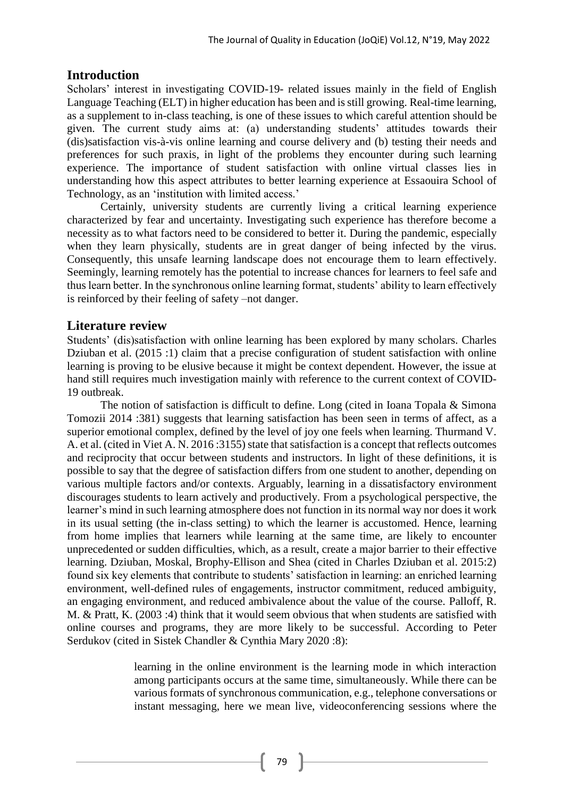# **Introduction**

Scholars' interest in investigating COVID-19- related issues mainly in the field of English Language Teaching (ELT) in higher education has been and is still growing. Real-time learning, as a supplement to in-class teaching, is one of these issues to which careful attention should be given. The current study aims at: (a) understanding students' attitudes towards their (dis)satisfaction vis-à-vis online learning and course delivery and (b) testing their needs and preferences for such praxis, in light of the problems they encounter during such learning experience. The importance of student satisfaction with online virtual classes lies in understanding how this aspect attributes to better learning experience at Essaouira School of Technology, as an 'institution with limited access.'

Certainly, university students are currently living a critical learning experience characterized by fear and uncertainty. Investigating such experience has therefore become a necessity as to what factors need to be considered to better it. During the pandemic, especially when they learn physically, students are in great danger of being infected by the virus. Consequently, this unsafe learning landscape does not encourage them to learn effectively. Seemingly, learning remotely has the potential to increase chances for learners to feel safe and thus learn better. In the synchronous online learning format, students' ability to learn effectively is reinforced by their feeling of safety –not danger.

# **Literature review**

Students' (dis)satisfaction with online learning has been explored by many scholars. Charles Dziuban et al. (2015 :1) claim that a precise configuration of student satisfaction with online learning is proving to be elusive because it might be context dependent. However, the issue at hand still requires much investigation mainly with reference to the current context of COVID-19 outbreak.

The notion of satisfaction is difficult to define. Long (cited in Ioana Topala & Simona Tomozii 2014 :381) suggests that learning satisfaction has been seen in terms of affect, as a superior emotional complex, defined by the level of joy one feels when learning. Thurmand V. A. et al. (cited in Viet A. N. 2016 :3155) state that satisfaction is a concept that reflects outcomes and reciprocity that occur between students and instructors. In light of these definitions, it is possible to say that the degree of satisfaction differs from one student to another, depending on various multiple factors and/or contexts. Arguably, learning in a dissatisfactory environment discourages students to learn actively and productively. From a psychological perspective, the learner's mind in such learning atmosphere does not function in its normal way nor does it work in its usual setting (the in-class setting) to which the learner is accustomed. Hence, learning from home implies that learners while learning at the same time, are likely to encounter unprecedented or sudden difficulties, which, as a result, create a major barrier to their effective learning. Dziuban, Moskal, Brophy-Ellison and Shea (cited in Charles Dziuban et al. 2015:2) found six key elements that contribute to students' satisfaction in learning: an enriched learning environment, well-defined rules of engagements, instructor commitment, reduced ambiguity, an engaging environment, and reduced ambivalence about the value of the course. Palloff, R. M. & Pratt, K. (2003 :4) think that it would seem obvious that when students are satisfied with online courses and programs, they are more likely to be successful. According to Peter Serdukov (cited in Sistek Chandler & Cynthia Mary 2020 :8):

> learning in the online environment is the learning mode in which interaction among participants occurs at the same time, simultaneously. While there can be various formats of synchronous communication, e.g., telephone conversations or instant messaging, here we mean live, videoconferencing sessions where the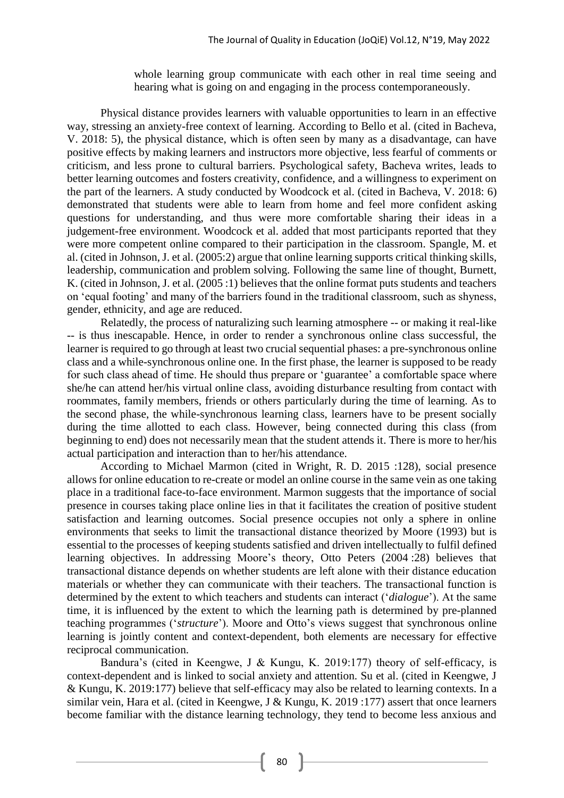whole learning group communicate with each other in real time seeing and hearing what is going on and engaging in the process contemporaneously.

Physical distance provides learners with valuable opportunities to learn in an effective way, stressing an anxiety-free context of learning. According to Bello et al. (cited in Bacheva, V. 2018: 5), the physical distance, which is often seen by many as a disadvantage, can have positive effects by making learners and instructors more objective, less fearful of comments or criticism, and less prone to cultural barriers. Psychological safety, Bacheva writes, leads to better learning outcomes and fosters creativity, confidence, and a willingness to experiment on the part of the learners. A study conducted by Woodcock et al. (cited in Bacheva, V. 2018: 6) demonstrated that students were able to learn from home and feel more confident asking questions for understanding, and thus were more comfortable sharing their ideas in a judgement-free environment. Woodcock et al. added that most participants reported that they were more competent online compared to their participation in the classroom. Spangle, M. et al. (cited in Johnson, J. et al. (2005:2) argue that online learning supports critical thinking skills, leadership, communication and problem solving. Following the same line of thought, Burnett, K. (cited in Johnson, J. et al. (2005 :1) believes that the online format puts students and teachers on 'equal footing' and many of the barriers found in the traditional classroom, such as shyness, gender, ethnicity, and age are reduced.

Relatedly, the process of naturalizing such learning atmosphere -- or making it real-like -- is thus inescapable. Hence, in order to render a synchronous online class successful, the learner is required to go through at least two crucial sequential phases: a pre-synchronous online class and a while-synchronous online one. In the first phase, the learner is supposed to be ready for such class ahead of time. He should thus prepare or 'guarantee' a comfortable space where she/he can attend her/his virtual online class, avoiding disturbance resulting from contact with roommates, family members, friends or others particularly during the time of learning. As to the second phase, the while-synchronous learning class, learners have to be present socially during the time allotted to each class. However, being connected during this class (from beginning to end) does not necessarily mean that the student attends it. There is more to her/his actual participation and interaction than to her/his attendance.

According to Michael Marmon (cited in Wright, R. D. 2015 :128), social presence allows for online education to re-create or model an online course in the same vein as one taking place in a traditional face-to-face environment. Marmon suggests that the importance of social presence in courses taking place online lies in that it facilitates the creation of positive student satisfaction and learning outcomes. Social presence occupies not only a sphere in online environments that seeks to limit the transactional distance theorized by Moore (1993) but is essential to the processes of keeping students satisfied and driven intellectually to fulfil defined learning objectives. In addressing Moore's theory, Otto Peters (2004 :28) believes that transactional distance depends on whether students are left alone with their distance education materials or whether they can communicate with their teachers. The transactional function is determined by the extent to which teachers and students can interact ('*dialogue*'). At the same time, it is influenced by the extent to which the learning path is determined by pre-planned teaching programmes ('*structure*'). Moore and Otto's views suggest that synchronous online learning is jointly content and context-dependent, both elements are necessary for effective reciprocal communication.

Bandura's (cited in Keengwe, J & Kungu, K. 2019:177) theory of self-efficacy, is context-dependent and is linked to social anxiety and attention. Su et al. (cited in Keengwe, J & Kungu, K. 2019:177) believe that self-efficacy may also be related to learning contexts. In a similar vein, Hara et al. (cited in Keengwe, J & Kungu, K. 2019 :177) assert that once learners become familiar with the distance learning technology, they tend to become less anxious and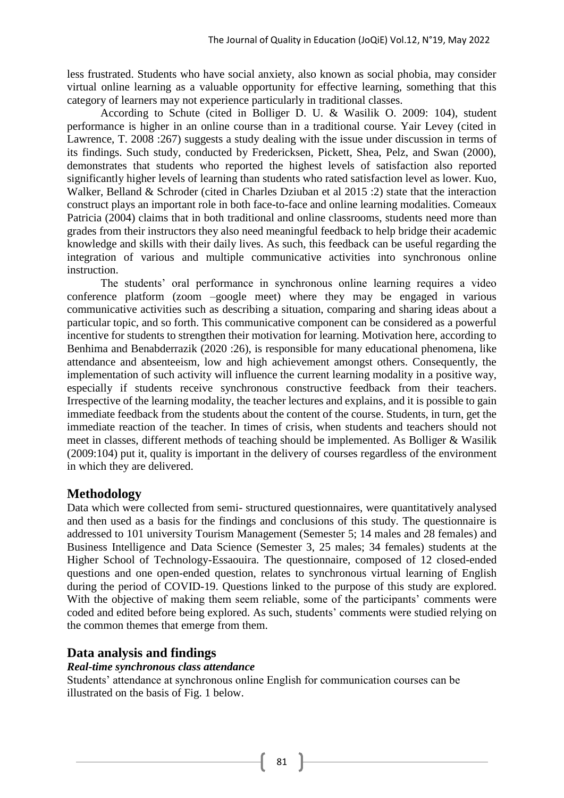less frustrated. Students who have social anxiety, also known as social phobia, may consider virtual online learning as a valuable opportunity for effective learning, something that this category of learners may not experience particularly in traditional classes.

According to Schute (cited in Bolliger D. U. & Wasilik O. 2009: 104), student performance is higher in an online course than in a traditional course. Yair Levey (cited in Lawrence, T. 2008 :267) suggests a study dealing with the issue under discussion in terms of its findings. Such study, conducted by Fredericksen, Pickett, Shea, Pelz, and Swan (2000), demonstrates that students who reported the highest levels of satisfaction also reported significantly higher levels of learning than students who rated satisfaction level as lower. Kuo, Walker, Belland & Schroder (cited in Charles Dziuban et al 2015 :2) state that the interaction construct plays an important role in both face-to-face and online learning modalities. Comeaux Patricia (2004) claims that in both traditional and online classrooms, students need more than grades from their instructors they also need meaningful feedback to help bridge their academic knowledge and skills with their daily lives. As such, this feedback can be useful regarding the integration of various and multiple communicative activities into synchronous online instruction.

The students' oral performance in synchronous online learning requires a video conference platform (zoom –google meet) where they may be engaged in various communicative activities such as describing a situation, comparing and sharing ideas about a particular topic, and so forth. This communicative component can be considered as a powerful incentive for students to strengthen their motivation for learning. Motivation here, according to Benhima and Benabderrazik (2020 :26), is responsible for many educational phenomena, like attendance and absenteeism, low and high achievement amongst others. Consequently, the implementation of such activity will influence the current learning modality in a positive way, especially if students receive synchronous constructive feedback from their teachers. Irrespective of the learning modality, the teacher lectures and explains, and it is possible to gain immediate feedback from the students about the content of the course. Students, in turn, get the immediate reaction of the teacher. In times of crisis, when students and teachers should not meet in classes, different methods of teaching should be implemented. As Bolliger & Wasilik (2009:104) put it, quality is important in the delivery of courses regardless of the environment in which they are delivered.

# **Methodology**

Data which were collected from semi- structured questionnaires, were quantitatively analysed and then used as a basis for the findings and conclusions of this study. The questionnaire is addressed to 101 university Tourism Management (Semester 5; 14 males and 28 females) and Business Intelligence and Data Science (Semester 3, 25 males; 34 females) students at the Higher School of Technology-Essaouira. The questionnaire, composed of 12 closed-ended questions and one open-ended question, relates to synchronous virtual learning of English during the period of COVID-19. Questions linked to the purpose of this study are explored. With the objective of making them seem reliable, some of the participants' comments were coded and edited before being explored. As such, students' comments were studied relying on the common themes that emerge from them.

# **Data analysis and findings**

### *Real-time synchronous class attendance*

Students' attendance at synchronous online English for communication courses can be illustrated on the basis of Fig. 1 below.

 $81$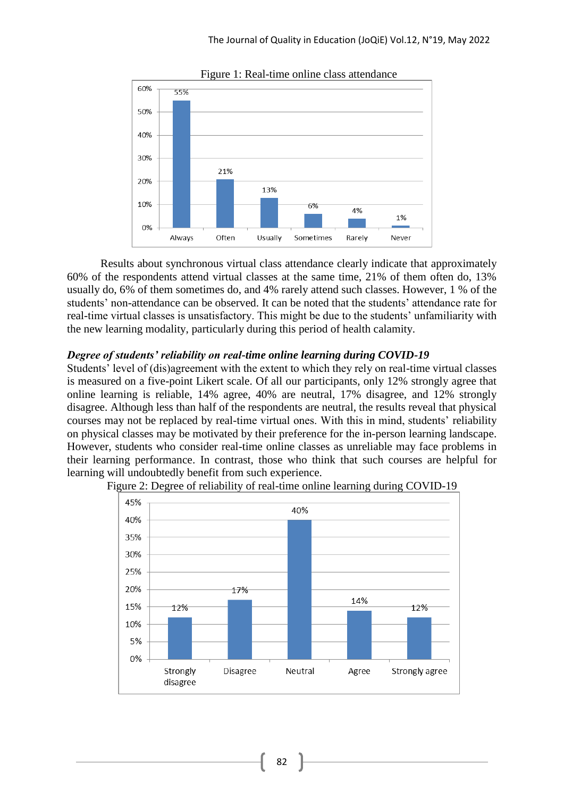

Figure 1: Real-time online class attendance

Results about synchronous virtual class attendance clearly indicate that approximately 60% of the respondents attend virtual classes at the same time, 21% of them often do, 13% usually do, 6% of them sometimes do, and 4% rarely attend such classes. However, 1 % of the students' non-attendance can be observed. It can be noted that the students' attendance rate for real-time virtual classes is unsatisfactory. This might be due to the students' unfamiliarity with the new learning modality, particularly during this period of health calamity.

### *Degree of students' reliability on real-time online learning during COVID-19*

Students' level of (dis)agreement with the extent to which they rely on real-time virtual classes is measured on a five-point Likert scale. Of all our participants, only 12% strongly agree that online learning is reliable, 14% agree, 40% are neutral, 17% disagree, and 12% strongly disagree. Although less than half of the respondents are neutral, the results reveal that physical courses may not be replaced by real-time virtual ones. With this in mind, students' reliability on physical classes may be motivated by their preference for the in-person learning landscape. However, students who consider real-time online classes as unreliable may face problems in their learning performance. In contrast, those who think that such courses are helpful for learning will undoubtedly benefit from such experience.



Figure 2: Degree of reliability of real-time online learning during COVID-19

82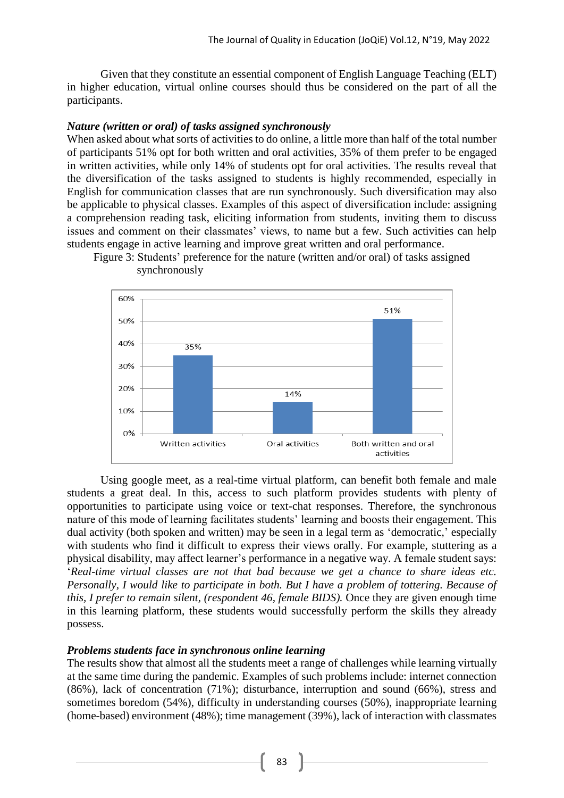Given that they constitute an essential component of English Language Teaching (ELT) in higher education, virtual online courses should thus be considered on the part of all the participants.

#### *Nature (written or oral) of tasks assigned synchronously*

When asked about what sorts of activities to do online, a little more than half of the total number of participants 51% opt for both written and oral activities, 35% of them prefer to be engaged in written activities, while only 14% of students opt for oral activities. The results reveal that the diversification of the tasks assigned to students is highly recommended, especially in English for communication classes that are run synchronously. Such diversification may also be applicable to physical classes. Examples of this aspect of diversification include: assigning a comprehension reading task, eliciting information from students, inviting them to discuss issues and comment on their classmates' views, to name but a few. Such activities can help students engage in active learning and improve great written and oral performance.



Figure 3: Students' preference for the nature (written and/or oral) of tasks assigned synchronously

Using google meet, as a real-time virtual platform, can benefit both female and male students a great deal. In this, access to such platform provides students with plenty of opportunities to participate using voice or text-chat responses. Therefore, the synchronous nature of this mode of learning facilitates students' learning and boosts their engagement. This dual activity (both spoken and written) may be seen in a legal term as 'democratic,' especially with students who find it difficult to express their views orally. For example, stuttering as a physical disability, may affect learner's performance in a negative way. A female student says: '*Real-time virtual classes are not that bad because we get a chance to share ideas etc. Personally, I would like to participate in both. But I have a problem of tottering. Because of this, I prefer to remain silent, (respondent 46, female BIDS).* Once they are given enough time in this learning platform, these students would successfully perform the skills they already possess.

### *Problems students face in synchronous online learning*

The results show that almost all the students meet a range of challenges while learning virtually at the same time during the pandemic. Examples of such problems include: internet connection (86%), lack of concentration (71%); disturbance, interruption and sound (66%), stress and sometimes boredom (54%), difficulty in understanding courses (50%), inappropriate learning (home-based) environment (48%); time management (39%), lack of interaction with classmates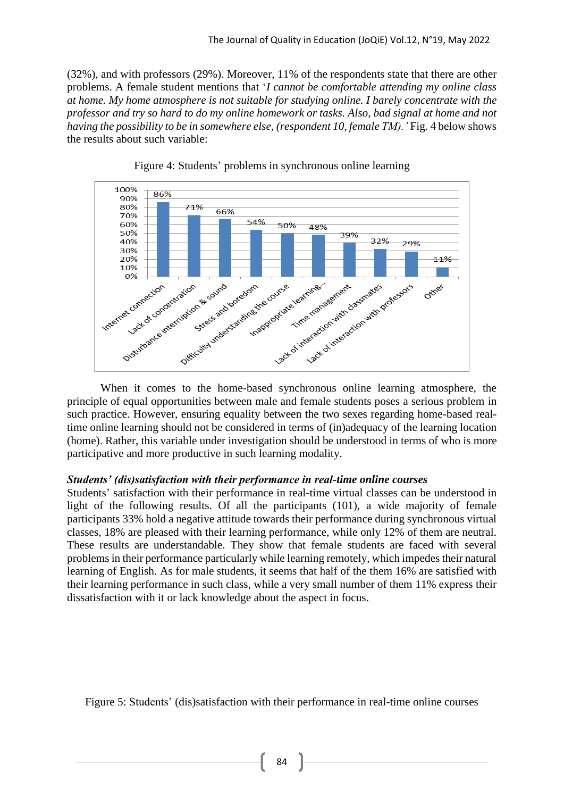(32%), and with professors (29%). Moreover, 11% of the respondents state that there are other problems. A female student mentions that '*I cannot be comfortable attending my online class at home. My home atmosphere is not suitable for studying online. I barely concentrate with the professor and try so hard to do my online homework or tasks. Also, bad signal at home and not having the possibility to be in somewhere else, (respondent 10, female TM).'* Fig. 4 below shows the results about such variable:





When it comes to the home-based synchronous online learning atmosphere, the principle of equal opportunities between male and female students poses a serious problem in such practice. However, ensuring equality between the two sexes regarding home-based realtime online learning should not be considered in terms of (in)adequacy of the learning location (home). Rather, this variable under investigation should be understood in terms of who is more participative and more productive in such learning modality.

#### *Students' (dis)satisfaction with their performance in real-time online courses*

Students' satisfaction with their performance in real-time virtual classes can be understood in light of the following results. Of all the participants (101), a wide majority of female participants 33% hold a negative attitude towards their performance during synchronous virtual classes, 18% are pleased with their learning performance, while only 12% of them are neutral. These results are understandable. They show that female students are faced with several problems in their performance particularly while learning remotely, which impedes their natural learning of English. As for male students, it seems that half of the them 16% are satisfied with their learning performance in such class, while a very small number of them 11% express their dissatisfaction with it or lack knowledge about the aspect in focus.

Figure 5: Students' (dis)satisfaction with their performance in real-time online courses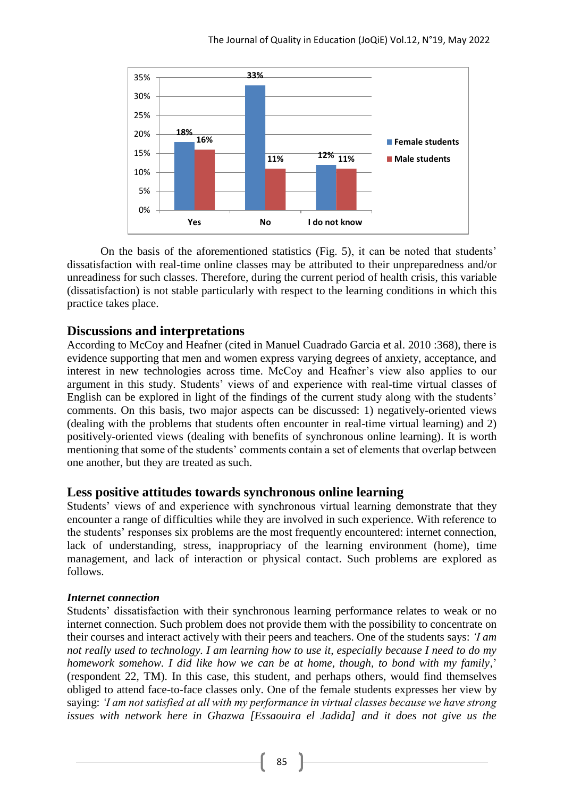

On the basis of the aforementioned statistics (Fig. 5), it can be noted that students' dissatisfaction with real-time online classes may be attributed to their unpreparedness and/or unreadiness for such classes. Therefore, during the current period of health crisis, this variable (dissatisfaction) is not stable particularly with respect to the learning conditions in which this practice takes place.

# **Discussions and interpretations**

According to McCoy and Heafner (cited in Manuel Cuadrado Garcia et al. 2010 :368), there is evidence supporting that men and women express varying degrees of anxiety, acceptance, and interest in new technologies across time. McCoy and Heafner's view also applies to our argument in this study. Students' views of and experience with real-time virtual classes of English can be explored in light of the findings of the current study along with the students' comments. On this basis, two major aspects can be discussed: 1) negatively-oriented views (dealing with the problems that students often encounter in real-time virtual learning) and 2) positively-oriented views (dealing with benefits of synchronous online learning). It is worth mentioning that some of the students' comments contain a set of elements that overlap between one another, but they are treated as such.

# **Less positive attitudes towards synchronous online learning**

Students' views of and experience with synchronous virtual learning demonstrate that they encounter a range of difficulties while they are involved in such experience. With reference to the students' responses six problems are the most frequently encountered: internet connection, lack of understanding, stress, inappropriacy of the learning environment (home), time management, and lack of interaction or physical contact. Such problems are explored as follows.

### *Internet connection*

Students' dissatisfaction with their synchronous learning performance relates to weak or no internet connection. Such problem does not provide them with the possibility to concentrate on their courses and interact actively with their peers and teachers. One of the students says: *'I am not really used to technology. I am learning how to use it, especially because I need to do my homework somehow. I did like how we can be at home, though, to bond with my family*,' (respondent 22, TM). In this case, this student, and perhaps others, would find themselves obliged to attend face-to-face classes only. One of the female students expresses her view by saying: *'I am not satisfied at all with my performance in virtual classes because we have strong issues with network here in Ghazwa [Essaouira el Jadida] and it does not give us the*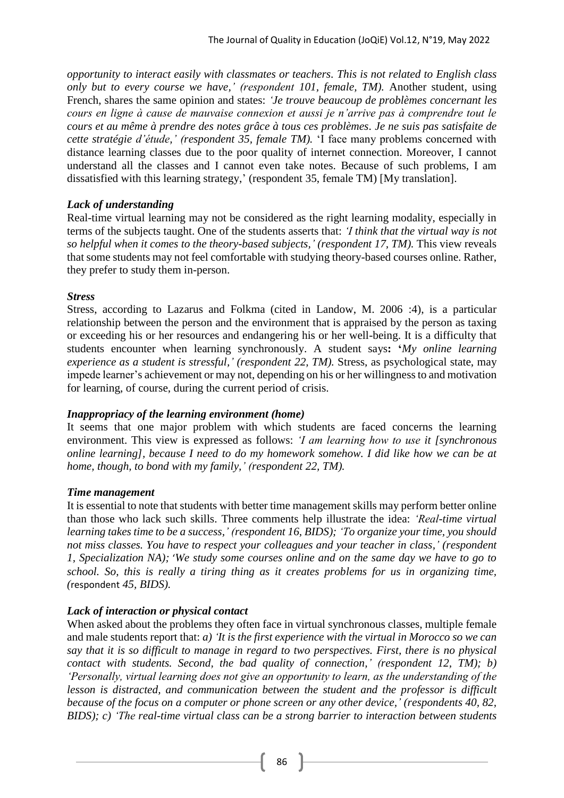*opportunity to interact easily with classmates or teachers. This is not related to English class only but to every course we have,' (respondent 101, female, TM).* Another student, using French, shares the same opinion and states: *'Je trouve beaucoup de problèmes concernant les cours en ligne à cause de mauvaise connexion et aussi je n'arrive pas à comprendre tout le cours et au même à prendre des notes grâce à tous ces problèmes. Je ne suis pas satisfaite de cette stratégie d'étude,' (respondent 35, female TM).* 'I face many problems concerned with distance learning classes due to the poor quality of internet connection. Moreover, I cannot understand all the classes and I cannot even take notes. Because of such problems, I am dissatisfied with this learning strategy,' (respondent 35, female TM) [My translation].

### *Lack of understanding*

Real-time virtual learning may not be considered as the right learning modality, especially in terms of the subjects taught. One of the students asserts that: *'I think that the virtual way is not so helpful when it comes to the theory-based subjects,' (respondent 17, TM).* This view reveals that some students may not feel comfortable with studying theory-based courses online. Rather, they prefer to study them in-person.

### *Stress*

Stress, according to Lazarus and Folkma (cited in Landow, M. 2006 :4), is a particular relationship between the person and the environment that is appraised by the person as taxing or exceeding his or her resources and endangering his or her well-being. It is a difficulty that students encounter when learning synchronously. A student says**: '***My online learning experience as a student is stressful,' (respondent 22, TM).* Stress, as psychological state, may impede learner's achievement or may not, depending on his or her willingness to and motivation for learning, of course, during the current period of crisis.

### *Inappropriacy of the learning environment (home)*

It seems that one major problem with which students are faced concerns the learning environment. This view is expressed as follows: *'I am learning how to use it [synchronous online learning], because I need to do my homework somehow. I did like how we can be at home, though, to bond with my family,' (respondent 22, TM).*

#### *Time management*

It is essential to note that students with better time management skills may perform better online than those who lack such skills. Three comments help illustrate the idea: *'Real-time virtual learning takes time to be a success,' (respondent 16, BIDS); 'To organize your time, you should not miss classes. You have to respect your colleagues and your teacher in class,' (respondent 1, Specialization NA);* '*We study some courses online and on the same day we have to go to school. So, this is really a tiring thing as it creates problems for us in organizing time, (*respondent *45, BIDS).*

### *Lack of interaction or physical contact*

When asked about the problems they often face in virtual synchronous classes, multiple female and male students report that: *a) 'It is the first experience with the virtual in Morocco so we can say that it is so difficult to manage in regard to two perspectives. First, there is no physical contact with students. Second, the bad quality of connection,' (respondent 12, TM); b) 'Personally, virtual learning does not give an opportunity to learn, as the understanding of the lesson is distracted, and communication between the student and the professor is difficult because of the focus on a computer or phone screen or any other device,' (respondents 40, 82, BIDS); c) 'The real-time virtual class can be a strong barrier to interaction between students* 

86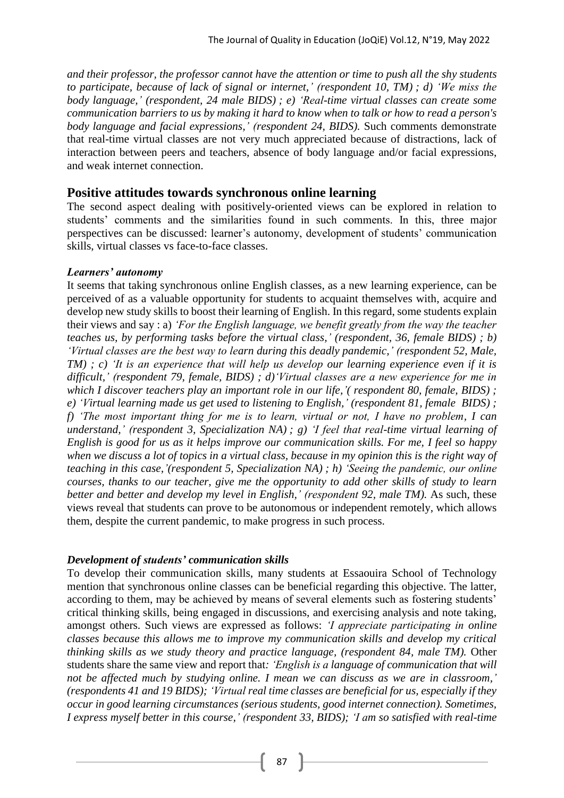*and their professor, the professor cannot have the attention or time to push all the shy students to participate, because of lack of signal or internet,' (respondent 10, TM) ; d) 'We miss the body language,' (respondent, 24 male BIDS) ; e) 'Real-time virtual classes can create some communication barriers to us by making it hard to know when to talk or how to read a person's body language and facial expressions,' (respondent 24, BIDS).* Such comments demonstrate that real-time virtual classes are not very much appreciated because of distractions, lack of interaction between peers and teachers, absence of body language and/or facial expressions, and weak internet connection.

### **Positive attitudes towards synchronous online learning**

The second aspect dealing with positively-oriented views can be explored in relation to students' comments and the similarities found in such comments. In this, three major perspectives can be discussed: learner's autonomy, development of students' communication skills, virtual classes vs face-to-face classes.

#### *Learners' autonomy*

It seems that taking synchronous online English classes, as a new learning experience, can be perceived of as a valuable opportunity for students to acquaint themselves with, acquire and develop new study skills to boost their learning of English. In this regard, some students explain their views and say : a) *'For the English language, we benefit greatly from the way the teacher teaches us, by performing tasks before the virtual class,' (respondent, 36, female BIDS) ; b) 'Virtual classes are the best way to learn during this deadly pandemic,' (respondent 52, Male, TM) ; c) 'It is an experience that will help us develop our learning experience even if it is difficult,' (respondent 79, female, BIDS) ; d)'Virtual classes are a new experience for me in which I discover teachers play an important role in our life,'( respondent 80, female, BIDS) ; e) 'Virtual learning made us get used to listening to English,' (respondent 81, female BIDS) ; f) 'The most important thing for me is to learn, virtual or not, I have no problem, I can understand,' (respondent 3, Specialization NA) ; g) 'I feel that real-time virtual learning of English is good for us as it helps improve our communication skills. For me, I feel so happy when we discuss a lot of topics in a virtual class, because in my opinion this is the right way of teaching in this case,'(respondent 5, Specialization NA) ; h) 'Seeing the pandemic, our online courses, thanks to our teacher, give me the opportunity to add other skills of study to learn better and better and develop my level in English,' (respondent 92, male TM).* As such, these views reveal that students can prove to be autonomous or independent remotely, which allows them, despite the current pandemic, to make progress in such process.

#### *Development of students' communication skills*

To develop their communication skills, many students at Essaouira School of Technology mention that synchronous online classes can be beneficial regarding this objective. The latter, according to them, may be achieved by means of several elements such as fostering students' critical thinking skills, being engaged in discussions, and exercising analysis and note taking, amongst others. Such views are expressed as follows: *'I appreciate participating in online classes because this allows me to improve my communication skills and develop my critical thinking skills as we study theory and practice language, (respondent 84, male TM).* Other students share the same view and report that*: 'English is a language of communication that will not be affected much by studying online. I mean we can discuss as we are in classroom,' (respondents 41 and 19 BIDS); 'Virtual real time classes are beneficial for us, especially if they occur in good learning circumstances (serious students, good internet connection). Sometimes, I express myself better in this course,' (respondent 33, BIDS); 'I am so satisfied with real-time*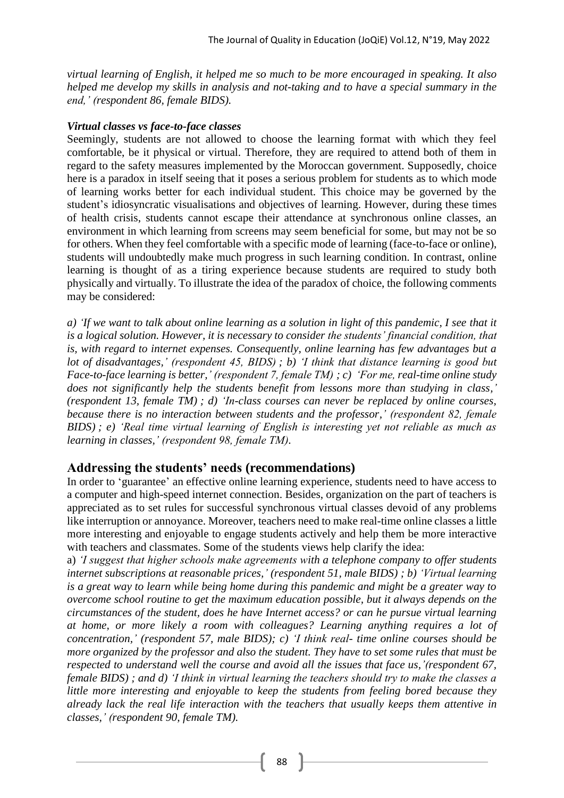*virtual learning of English, it helped me so much to be more encouraged in speaking. It also helped me develop my skills in analysis and not-taking and to have a special summary in the end,' (respondent 86, female BIDS).*

### *Virtual classes vs face-to-face classes*

Seemingly, students are not allowed to choose the learning format with which they feel comfortable, be it physical or virtual. Therefore, they are required to attend both of them in regard to the safety measures implemented by the Moroccan government. Supposedly, choice here is a paradox in itself seeing that it poses a serious problem for students as to which mode of learning works better for each individual student. This choice may be governed by the student's idiosyncratic visualisations and objectives of learning. However, during these times of health crisis, students cannot escape their attendance at synchronous online classes, an environment in which learning from screens may seem beneficial for some, but may not be so for others. When they feel comfortable with a specific mode of learning (face-to-face or online), students will undoubtedly make much progress in such learning condition. In contrast, online learning is thought of as a tiring experience because students are required to study both physically and virtually. To illustrate the idea of the paradox of choice, the following comments may be considered:

*a) 'If we want to talk about online learning as a solution in light of this pandemic, I see that it is a logical solution. However, it is necessary to consider the students' financial condition, that is, with regard to internet expenses. Consequently, online learning has few advantages but a lot of disadvantages,' (respondent 45, BIDS) ; b) 'I think that distance learning is good but Face-to-face learning is better,' (respondent 7, female TM) ; c) 'For me, real-time online study does not significantly help the students benefit from lessons more than studying in class,' (respondent 13, female TM) ; d) 'In-class courses can never be replaced by online courses, because there is no interaction between students and the professor,' (respondent 82, female BIDS) ; e) 'Real time virtual learning of English is interesting yet not reliable as much as learning in classes,' (respondent 98, female TM).*

# **Addressing the students' needs (recommendations)**

In order to 'guarantee' an effective online learning experience, students need to have access to a computer and high-speed internet connection. Besides, organization on the part of teachers is appreciated as to set rules for successful synchronous virtual classes devoid of any problems like interruption or annoyance. Moreover, teachers need to make real-time online classes a little more interesting and enjoyable to engage students actively and help them be more interactive with teachers and classmates. Some of the students views help clarify the idea:

a) *'I suggest that higher schools make agreements with a telephone company to offer students internet subscriptions at reasonable prices,' (respondent 51, male BIDS) ; b) 'Virtual learning is a great way to learn while being home during this pandemic and might be a greater way to overcome school routine to get the maximum education possible, but it always depends on the circumstances of the student, does he have Internet access? or can he pursue virtual learning at home, or more likely a room with colleagues? Learning anything requires a lot of concentration,' (respondent 57, male BIDS); c) 'I think real- time online courses should be more organized by the professor and also the student. They have to set some rules that must be respected to understand well the course and avoid all the issues that face us,'(respondent 67, female BIDS) ; and d) 'I think in virtual learning the teachers should try to make the classes a little more interesting and enjoyable to keep the students from feeling bored because they already lack the real life interaction with the teachers that usually keeps them attentive in classes,' (respondent 90, female TM).*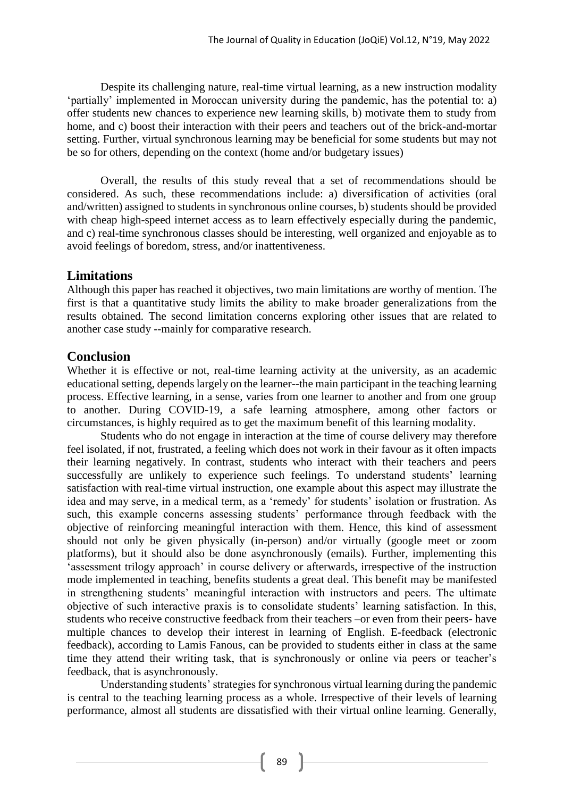Despite its challenging nature, real-time virtual learning, as a new instruction modality 'partially' implemented in Moroccan university during the pandemic, has the potential to: a) offer students new chances to experience new learning skills, b) motivate them to study from home, and c) boost their interaction with their peers and teachers out of the brick-and-mortar setting. Further, virtual synchronous learning may be beneficial for some students but may not be so for others, depending on the context (home and/or budgetary issues)

Overall, the results of this study reveal that a set of recommendations should be considered. As such, these recommendations include: a) diversification of activities (oral and/written) assigned to students in synchronous online courses, b) students should be provided with cheap high-speed internet access as to learn effectively especially during the pandemic, and c) real-time synchronous classes should be interesting, well organized and enjoyable as to avoid feelings of boredom, stress, and/or inattentiveness.

# **Limitations**

Although this paper has reached it objectives, two main limitations are worthy of mention. The first is that a quantitative study limits the ability to make broader generalizations from the results obtained. The second limitation concerns exploring other issues that are related to another case study --mainly for comparative research.

# **Conclusion**

Whether it is effective or not, real-time learning activity at the university, as an academic educational setting, depends largely on the learner--the main participant in the teaching learning process. Effective learning, in a sense, varies from one learner to another and from one group to another. During COVID-19, a safe learning atmosphere, among other factors or circumstances, is highly required as to get the maximum benefit of this learning modality.

Students who do not engage in interaction at the time of course delivery may therefore feel isolated, if not, frustrated, a feeling which does not work in their favour as it often impacts their learning negatively. In contrast, students who interact with their teachers and peers successfully are unlikely to experience such feelings. To understand students' learning satisfaction with real-time virtual instruction, one example about this aspect may illustrate the idea and may serve, in a medical term, as a 'remedy' for students' isolation or frustration. As such, this example concerns assessing students' performance through feedback with the objective of reinforcing meaningful interaction with them. Hence, this kind of assessment should not only be given physically (in-person) and/or virtually (google meet or zoom platforms), but it should also be done asynchronously (emails). Further, implementing this 'assessment trilogy approach' in course delivery or afterwards, irrespective of the instruction mode implemented in teaching, benefits students a great deal. This benefit may be manifested in strengthening students' meaningful interaction with instructors and peers. The ultimate objective of such interactive praxis is to consolidate students' learning satisfaction. In this, students who receive constructive feedback from their teachers –or even from their peers- have multiple chances to develop their interest in learning of English. E-feedback (electronic feedback), according to Lamis Fanous, can be provided to students either in class at the same time they attend their writing task, that is synchronously or online via peers or teacher's feedback, that is asynchronously.

Understanding students' strategies for synchronous virtual learning during the pandemic is central to the teaching learning process as a whole. Irrespective of their levels of learning performance, almost all students are dissatisfied with their virtual online learning. Generally,

89 }